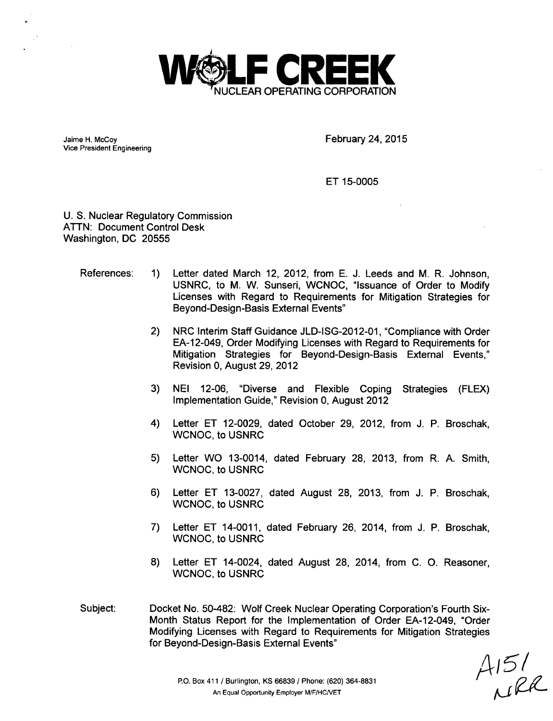

Jaime H. McCoy Vice President Engineering February 24, 2015

ET 15-0005

U. S. Nuclear Regulatory Commission ATTN: Document Control Desk Washington, DC 20555

#### References: 1) Letter dated March 12, 2012, from E. J. Leeds and M. R. Johnson, USNRC, to M. W. Sunseri, WCNOC, "Issuance of Order to Modify Licenses with Regard to Requirements for Mitigation Strategies for Beyond-Design-Basis External Events"

- 2) NRC Interim Staff Guidance JLD-ISG-2012-01, "Compliance with Order EA-12-049, Order Modifying Licenses with Regard to Requirements for Mitigation Strategies for Beyond-Design-Basis External Events," Revision 0, August 29, 2012
- 3) NEI 12-06, "Diverse and Flexible Coping Implementation Guide," Revision 0, August 2012 Strategies (FLEX)
- 4) Letter ET 12-0029, dated October 29, 2012, from J. P. Broschak, WCNOC, to USNRC
- 5) Letter WO 13-0014, dated February 28, 2013, from R. A. Smith, WCNOC, to USNRC
- 6) Letter ET 13-0027, dated August 28, 2013, from J. P. Broschak, WCNOC, to USNRC
- 7) Letter ET 14-0011, dated February 26, 2014, from J. P. Broschak, WCNOC, to USNRC
- 8) Letter ET 14-0024, dated August 28, 2014, from C. **0.** Reasoner, WCNOC, to USNRC
- Docket No. 50-482: Wolf Creek Nuclear Operating Corporation's Fourth Six-Month Status Report for the Implementation of Order EA-12-049, "Order Modifying Licenses with Regard to Requirements for Mitigation Strategies for Beyond-Design-Basis External Events" Subject:

 $A151$ <br> $0.128$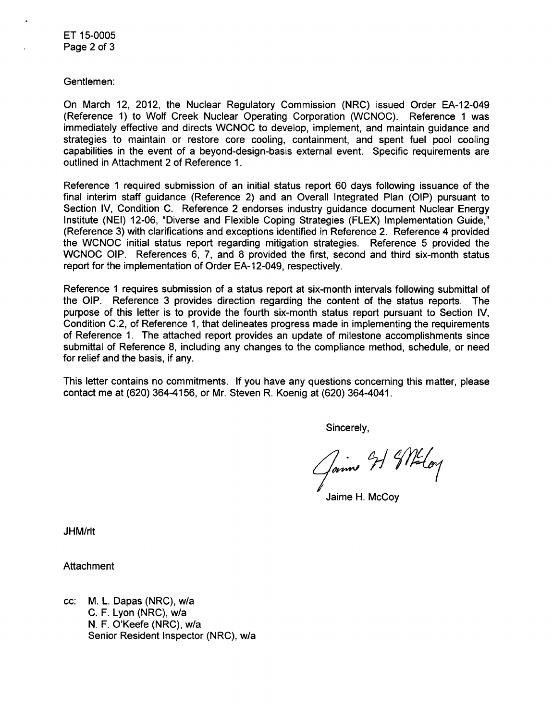Gentlemen:

On March 12, 2012, the Nuclear Regulatory Commission (NRC) issued Order EA-12-049 (Reference 1) to Wolf Creek Nuclear Operating Corporation (WCNOC). Reference 1 was immediately effective and directs WCNOC to develop, implement, and maintain guidance and strategies to maintain or restore core cooling, containment, and spent fuel pool cooling capabilities in the event of a beyond-design-basis external event. Specific requirements are outlined in Attachment 2 of Reference 1.

Reference 1 required submission of an initial status report 60 days following issuance of the final interim staff guidance (Reference 2) and an Overall Integrated Plan (OIP) pursuant to Section IV, Condition C. Reference 2 endorses industry guidance document Nuclear Energy Institute (NEI) 12-06, "Diverse and Flexible Coping Strategies (FLEX) Implementation Guide," (Reference 3) with clarifications and exceptions identified in Reference 2. Reference 4 provided the WCNOC initial status report regarding mitigation strategies. Reference 5 provided the WCNOC OIP. References 6, 7, and 8 provided the first, second and third six-month status report for the implementation of Order EA-12-049, respectively.

Reference 1 requires submission of a status report at six-month intervals following submittal of the OIP. Reference 3 provides direction regarding the content of the status reports. The purpose of this letter is to provide the fourth six-month status report pursuant to Section IV, Condition C.2, of Reference 1, that delineates progress made in implementing the requirements of Reference 1. The attached report provides an update of milestone accomplishments since submittal of Reference 8, including any changes to the compliance method, schedule, or need for relief and the basis, if any.

This letter contains no commitments. If you have any questions concerning this matter, please contact me at (620) 364-4156, or Mr. Steven R. Koenig at (620) 364-4041.

Sincerely,

Jaime H. McCoy

JHM/rlt

Attachment

cc: M. L. Dapas (NRC), w/a C. F. Lyon (NRC), w/a N. F. O'Keefe (NRC), w/a Senior Resident Inspector (NRC), w/a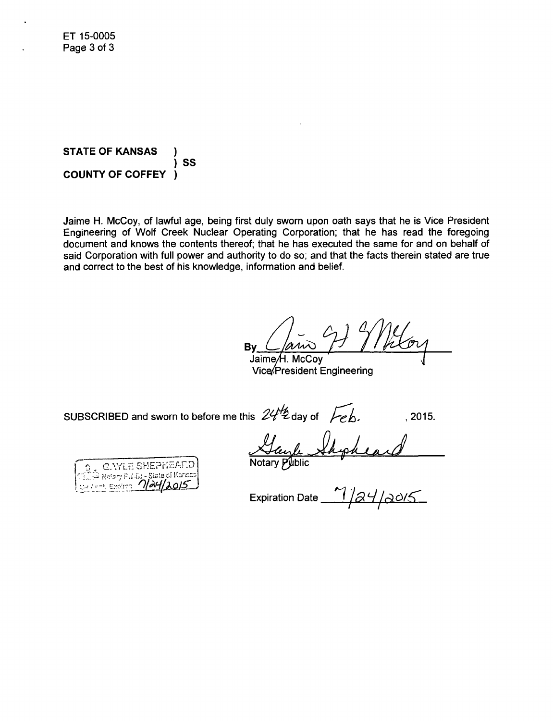**STATE** OF **KANSAS** ) **SS COUNTY** OF COFFEY )

Jaime H. McCoy, of lawful age, being first duly sworn upon oath says that he is Vice President Engineering of Wolf Creek Nuclear Operating Corporation; that he has read the foregoing document and knows the contents thereof; that he has executed the same for and on behalf of said Corporation with full power and authority to do so; and that the facts therein stated are true and correct to the best of his knowledge, information and belief.

**Bv** Jaime/H. McCoy

Vice/President Engineering

SUBSCRIBED and sworn to before me this  $24^{\frac{1}{2}}$  day of  $\overline{Feb}$ . , 2015.

<u>Mayle</u> Shiph

**CAYLE SHEPHEARD**<br>Notary Pulling-State of Konear

Expiration Date 1/24/2015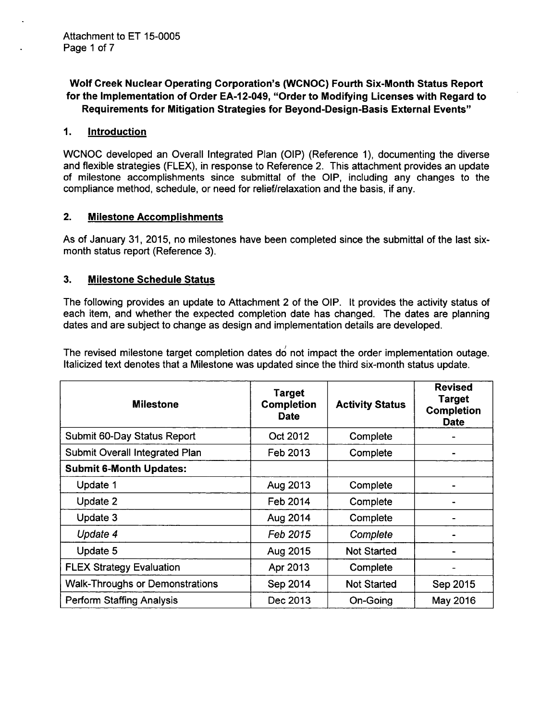# Wolf Creek Nuclear Operating Corporation's (WCNOC) Fourth Six-Month Status Report for the Implementation of Order EA-12-049, "Order to Modifying Licenses with Regard to Requirements for Mitigation Strategies for Beyond-Design-Basis External Events"

### *1.* Introduction

WCNOC developed an Overall Integrated Plan (OIP) (Reference 1), documenting the diverse and flexible strategies (FLEX), in response to Reference 2. This attachment provides an update of milestone accomplishments since submittal of the OIP, including any changes to the compliance method, schedule, or need for relief/relaxation and the basis, if any.

#### 2. Milestone Accomplishments

As of January 31, 2015, no milestones have been completed since the submittal of the last sixmonth status report (Reference 3).

#### 3. Milestone Schedule Status

The following provides an update to Attachment 2 of the OIP. It provides the activity status of each item, and whether the expected completion date has changed. The dates are planning dates and are subject to change as design and implementation details are developed.

The revised milestone target completion dates do not impact the order implementation outage. Italicized text denotes that a Milestone was updated since the third six-month status update.

| <b>Milestone</b>                       | <b>Target</b><br><b>Completion</b><br><b>Date</b> | <b>Activity Status</b> | <b>Revised</b><br><b>Target</b><br><b>Completion</b><br><b>Date</b> |
|----------------------------------------|---------------------------------------------------|------------------------|---------------------------------------------------------------------|
| Submit 60-Day Status Report            | Oct 2012                                          | Complete               |                                                                     |
| <b>Submit Overall Integrated Plan</b>  | Feb 2013                                          | Complete               |                                                                     |
| <b>Submit 6-Month Updates:</b>         |                                                   |                        |                                                                     |
| Update 1                               | Aug 2013                                          | Complete               |                                                                     |
| Update 2                               | Feb 2014                                          | Complete               |                                                                     |
| Update 3                               | Aug 2014                                          | Complete               |                                                                     |
| Update 4                               | Feb 2015                                          | Complete               |                                                                     |
| Update 5                               | Aug 2015                                          | <b>Not Started</b>     |                                                                     |
| <b>FLEX Strategy Evaluation</b>        | Apr 2013                                          | Complete               |                                                                     |
| <b>Walk-Throughs or Demonstrations</b> | Sep 2014                                          | <b>Not Started</b>     | Sep 2015                                                            |
| <b>Perform Staffing Analysis</b>       | Dec 2013                                          | On-Going               | May 2016                                                            |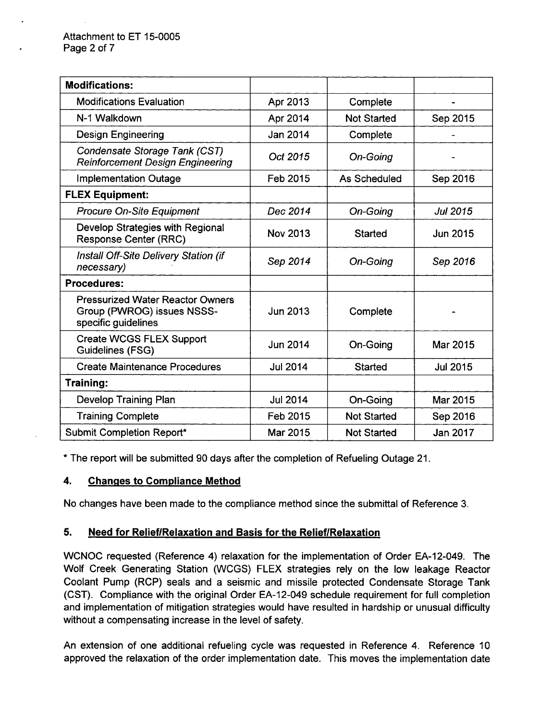| <b>Modifications:</b>                                                                        |                 |                    |                 |
|----------------------------------------------------------------------------------------------|-----------------|--------------------|-----------------|
| <b>Modifications Evaluation</b>                                                              | Apr 2013        | Complete           |                 |
| N-1 Walkdown                                                                                 | Apr 2014        | <b>Not Started</b> | Sep 2015        |
| <b>Design Engineering</b>                                                                    | Jan 2014        | Complete           |                 |
| Condensate Storage Tank (CST)<br><b>Reinforcement Design Engineering</b>                     | Oct 2015        | On-Going           |                 |
| <b>Implementation Outage</b>                                                                 | Feb 2015        | As Scheduled       | Sep 2016        |
| <b>FLEX Equipment:</b>                                                                       |                 |                    |                 |
| <b>Procure On-Site Equipment</b>                                                             | Dec 2014        | On-Going           | <b>Jul 2015</b> |
| Develop Strategies with Regional<br><b>Response Center (RRC)</b>                             | <b>Nov 2013</b> | <b>Started</b>     | Jun 2015        |
| <b>Install Off-Site Delivery Station (if</b><br>necessary)                                   | Sep 2014        | On-Going           | Sep 2016        |
| <b>Procedures:</b>                                                                           |                 |                    |                 |
| <b>Pressurized Water Reactor Owners</b><br>Group (PWROG) issues NSSS-<br>specific guidelines | <b>Jun 2013</b> | Complete           |                 |
| <b>Create WCGS FLEX Support</b><br><b>Guidelines (FSG)</b>                                   | Jun 2014        | On-Going           | Mar 2015        |
| <b>Create Maintenance Procedures</b>                                                         | <b>Jul 2014</b> | <b>Started</b>     | <b>Jul 2015</b> |
| Training:                                                                                    |                 |                    |                 |
| Develop Training Plan                                                                        | <b>Jul 2014</b> | On-Going           | Mar 2015        |
| <b>Training Complete</b>                                                                     | Feb 2015        | <b>Not Started</b> | Sep 2016        |
| Submit Completion Report*                                                                    | Mar 2015        | <b>Not Started</b> | Jan 2017        |

\* The report will be submitted 90 days after the completion of Refueling Outage 21.

# 4. Changes to Compliance Method

No changes have been made to the compliance method since the submittal of Reference 3.

## 5. Need for Relief/Relaxation and Basis forthe Relief/Relaxation

WCNOC requested (Reference 4) relaxation for the implementation of Order EA-12-049. The Wolf Creek Generating Station (WCGS) FLEX strategies rely on the low leakage Reactor Coolant Pump (RCP) seals and a seismic and missile protected Condensate Storage Tank (CST). Compliance with the original Order EA-12-049 schedule requirement for full completion and implementation of mitigation strategies would have resulted in hardship or unusual difficulty without a compensating increase in the level of safety.

An extension of one additional refueling cycle was requested in Reference 4. Reference 10 approved the relaxation of the order implementation date. This moves the implementation date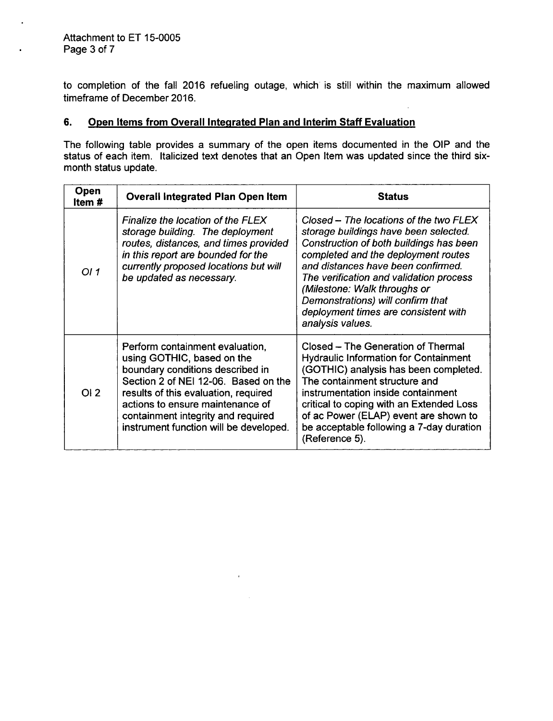$\epsilon$ 

¥.

to completion of the fall 2016 refueling outage, which is still within the maximum allowed timeframe of December 2016.

# 6. Open Items from Overall Integrated Plan and Interim Staff Evaluation

The following table provides a summary of the open items documented in the OIP and the status of each item. Italicized text denotes that an Open Item was updated since the third sixmonth status update.

| Open<br>ltem # | <b>Overall Integrated Plan Open Item</b>                                                                                                                                                                                                                                                              | <b>Status</b>                                                                                                                                                                                                                                                                                                                                                                       |
|----------------|-------------------------------------------------------------------------------------------------------------------------------------------------------------------------------------------------------------------------------------------------------------------------------------------------------|-------------------------------------------------------------------------------------------------------------------------------------------------------------------------------------------------------------------------------------------------------------------------------------------------------------------------------------------------------------------------------------|
| OI 1           | Finalize the location of the FLEX<br>storage building. The deployment<br>routes, distances, and times provided<br>in this report are bounded for the<br>currently proposed locations but will<br>be updated as necessary.                                                                             | Closed – The locations of the two FLEX<br>storage buildings have been selected.<br>Construction of both buildings has been<br>completed and the deployment routes<br>and distances have been confirmed.<br>The verification and validation process<br>(Milestone: Walk throughs or<br>Demonstrations) will confirm that<br>deployment times are consistent with<br>analysis values. |
| OI2            | Perform containment evaluation,<br>using GOTHIC, based on the<br>boundary conditions described in<br>Section 2 of NEI 12-06. Based on the<br>results of this evaluation, required<br>actions to ensure maintenance of<br>containment integrity and required<br>instrument function will be developed. | Closed – The Generation of Thermal<br><b>Hydraulic Information for Containment</b><br>(GOTHIC) analysis has been completed.<br>The containment structure and<br>instrumentation inside containment<br>critical to coping with an Extended Loss<br>of ac Power (ELAP) event are shown to<br>be acceptable following a 7-day duration<br>(Reference 5).                               |

 $\epsilon$ 

 $\mathcal{L}_{\text{eff}}$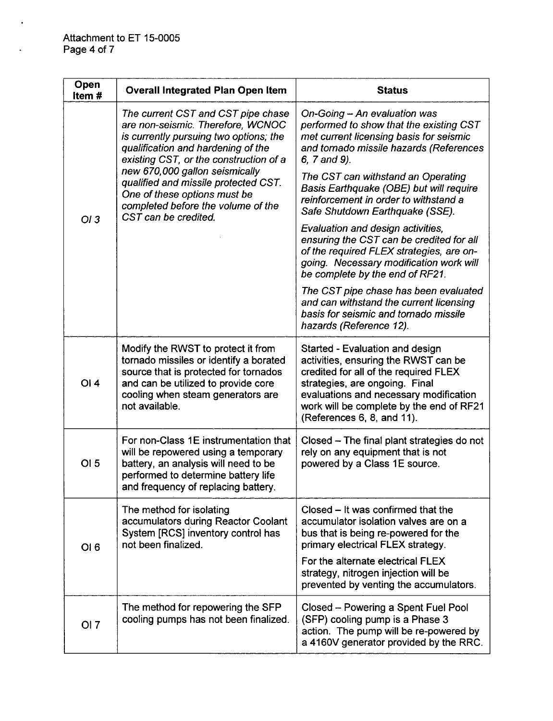$\ddot{\phantom{0}}$ 

 $\ddot{\phantom{a}}$ 

| Open<br>Item# | <b>Overall Integrated Plan Open Item</b>                                                                                                                                                                                                                                                                                                                                  | <b>Status</b>                                                                                                                                                                                                                                                          |
|---------------|---------------------------------------------------------------------------------------------------------------------------------------------------------------------------------------------------------------------------------------------------------------------------------------------------------------------------------------------------------------------------|------------------------------------------------------------------------------------------------------------------------------------------------------------------------------------------------------------------------------------------------------------------------|
| OI3           | The current CST and CST pipe chase<br>are non-seismic. Therefore, WCNOC<br>is currently pursuing two options; the<br>qualification and hardening of the<br>existing CST, or the construction of a<br>new 670,000 gallon seismically<br>qualified and missile protected CST.<br>One of these options must be<br>completed before the volume of the<br>CST can be credited. | On-Going - An evaluation was<br>performed to show that the existing CST<br>met current licensing basis for seismic<br>and tornado missile hazards (References<br>6, 7 and 9).                                                                                          |
|               |                                                                                                                                                                                                                                                                                                                                                                           | The CST can withstand an Operating<br>Basis Earthquake (OBE) but will require<br>reinforcement in order to withstand a<br>Safe Shutdown Earthquake (SSE).                                                                                                              |
|               |                                                                                                                                                                                                                                                                                                                                                                           | Evaluation and design activities,<br>ensuring the CST can be credited for all<br>of the required FLEX strategies, are on-<br>going. Necessary modification work will<br>be complete by the end of RF21.                                                                |
|               |                                                                                                                                                                                                                                                                                                                                                                           | The CST pipe chase has been evaluated<br>and can withstand the current licensing<br>basis for seismic and tornado missile<br>hazards (Reference 12).                                                                                                                   |
| <b>OI4</b>    | Modify the RWST to protect it from<br>tornado missiles or identify a borated<br>source that is protected for tornados<br>and can be utilized to provide core<br>cooling when steam generators are<br>not available.                                                                                                                                                       | Started - Evaluation and design<br>activities, ensuring the RWST can be<br>credited for all of the required FLEX<br>strategies, are ongoing. Final<br>evaluations and necessary modification<br>work will be complete by the end of RF21<br>(References 6, 8, and 11). |
| OI 5          | For non-Class 1E instrumentation that<br>will be repowered using a temporary<br>battery, an analysis will need to be<br>performed to determine battery life<br>and frequency of replacing battery.                                                                                                                                                                        | Closed – The final plant strategies do not<br>rely on any equipment that is not<br>powered by a Class 1E source.                                                                                                                                                       |
| OI6           | The method for isolating<br>accumulators during Reactor Coolant<br>System [RCS] inventory control has<br>not been finalized.                                                                                                                                                                                                                                              | Closed - It was confirmed that the<br>accumulator isolation valves are on a<br>bus that is being re-powered for the<br>primary electrical FLEX strategy.                                                                                                               |
|               |                                                                                                                                                                                                                                                                                                                                                                           | For the alternate electrical FLEX<br>strategy, nitrogen injection will be<br>prevented by venting the accumulators.                                                                                                                                                    |
| OI 7          | The method for repowering the SFP<br>cooling pumps has not been finalized.                                                                                                                                                                                                                                                                                                | Closed - Powering a Spent Fuel Pool<br>(SFP) cooling pump is a Phase 3<br>action. The pump will be re-powered by<br>a 4160V generator provided by the RRC.                                                                                                             |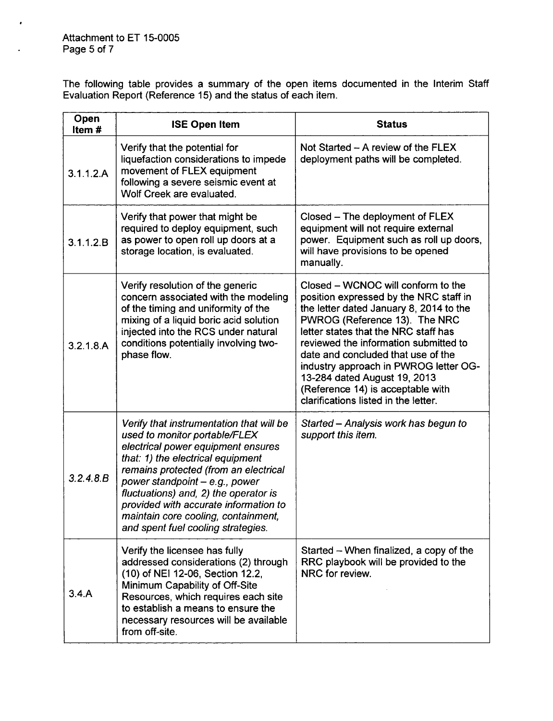$\lambda$ 

 $\mathbf{r}$ 

The following table provides a summary of the open items documented in the Interim Staff Evaluation Report (Reference 15) and the status of each item.

| Open<br>Item# | <b>ISE Open Item</b>                                                                                                                                                                                                                                                                                                                                                                            | <b>Status</b>                                                                                                                                                                                                                                                                                                                                                                                                                         |
|---------------|-------------------------------------------------------------------------------------------------------------------------------------------------------------------------------------------------------------------------------------------------------------------------------------------------------------------------------------------------------------------------------------------------|---------------------------------------------------------------------------------------------------------------------------------------------------------------------------------------------------------------------------------------------------------------------------------------------------------------------------------------------------------------------------------------------------------------------------------------|
| 3.1.1.2.A     | Verify that the potential for<br>liquefaction considerations to impede<br>movement of FLEX equipment<br>following a severe seismic event at<br>Wolf Creek are evaluated.                                                                                                                                                                                                                        | Not Started - A review of the FLEX<br>deployment paths will be completed.                                                                                                                                                                                                                                                                                                                                                             |
| 3.1.1.2.B     | Verify that power that might be<br>required to deploy equipment, such<br>as power to open roll up doors at a<br>storage location, is evaluated.                                                                                                                                                                                                                                                 | Closed – The deployment of FLEX<br>equipment will not require external<br>power. Equipment such as roll up doors,<br>will have provisions to be opened<br>manually.                                                                                                                                                                                                                                                                   |
| 3.2.1.8.A     | Verify resolution of the generic<br>concern associated with the modeling<br>of the timing and uniformity of the<br>mixing of a liquid boric acid solution<br>injected into the RCS under natural<br>conditions potentially involving two-<br>phase flow.                                                                                                                                        | Closed – WCNOC will conform to the<br>position expressed by the NRC staff in<br>the letter dated January 8, 2014 to the<br>PWROG (Reference 13). The NRC<br>letter states that the NRC staff has<br>reviewed the information submitted to<br>date and concluded that use of the<br>industry approach in PWROG letter OG-<br>13-284 dated August 19, 2013<br>(Reference 14) is acceptable with<br>clarifications listed in the letter. |
| 3.2.4.8B      | Verify that instrumentation that will be<br>used to monitor portable/FLEX<br>electrical power equipment ensures<br>that: 1) the electrical equipment<br>remains protected (from an electrical<br>power standpoint $-e.g., power$<br>fluctuations) and, 2) the operator is<br>provided with accurate information to<br>maintain core cooling, containment,<br>and spent fuel cooling strategies. | Started - Analysis work has begun to<br>support this item.                                                                                                                                                                                                                                                                                                                                                                            |
| 3.4.A         | Verify the licensee has fully<br>addressed considerations (2) through<br>(10) of NEI 12-06, Section 12.2,<br>Minimum Capability of Off-Site<br>Resources, which requires each site<br>to establish a means to ensure the<br>necessary resources will be available<br>from off-site.                                                                                                             | Started – When finalized, a copy of the<br>RRC playbook will be provided to the<br>NRC for review.                                                                                                                                                                                                                                                                                                                                    |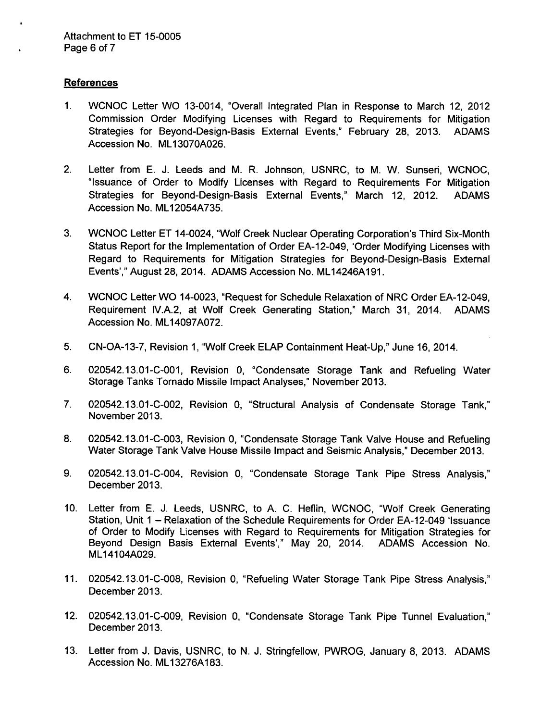#### References

- 1. WCNOC Letter WO 13-0014, "Overall Integrated Plan in Response to March 12, 2012 Commission Order Modifying Licenses with Regard to Requirements for Mitigation Strategies for Beyond-Design-Basis External Events," February 28, 2013. ADAMS Accession No. ML13070A026.
- 2. Letter from E. J. Leeds and M. R. Johnson, USNRC, to M. W. Sunseri, WCNOC, "Issuance of Order to Modify Licenses with Regard to Requirements For Mitigation Strategies for Beyond-Design-Basis External Events," March 12, 2012. ADAMS Accession No. ML12054A735.
- 3. WCNOC Letter ET 14-0024, "Wolf Creek Nuclear Operating Corporation's Third Six-Month Status Report for the Implementation of Order EA-12-049, 'Order Modifying Licenses with Regard to Requirements for Mitigation Strategies for Beyond-Design-Basis External Events'," August 28, 2014. ADAMS Accession No. ML14246A191.
- 4. WCNOC Letter WO 14-0023, "Request for Schedule Relaxation of NRC Order EA-12-049, Requirement IV.A.2, at Wolf Creek Generating Station," March 31, 2014. ADAMS Accession No. ML14097A072.
- 5. CN-OA-13-7, Revision 1, "Wolf Creek ELAP Containment Heat-Up," June 16, 2014.
- 6. 020542.13.01-C-001, Revision 0, "Condensate Storage Tank and Refueling Water Storage Tanks Tornado Missile Impact Analyses," November 2013.
- 7. 020542.13.01-C-002, Revision 0, "Structural Analysis of Condensate Storage Tank," November 2013.
- 8. 020542.13.01-C-003, Revision 0, "Condensate Storage Tank Valve House and Refueling Water Storage Tank Valve House Missile Impact and Seismic Analysis," December 2013.
- 9. 020542.13.01-C-004, Revision 0, "Condensate Storage Tank Pipe Stress Analysis," December 2013.
- 10. Letter from E. J. Leeds, USNRC, to A. C. Heflin, WCNOC, "Wolf Creek Generating Station, Unit 1 - Relaxation of the Schedule Requirements for Order EA-12-049 'Issuance of Order to Modify Licenses with Regard to Requirements for Mitigation Strategies for Beyond Design Basis External Events'," May 20, 2014. ADAMS Accession No. ML14104A029.
- 11. 020542.13.01-C-008, Revision 0, "Refueling Water Storage Tank Pipe Stress Analysis," December 2013.
- 12. 020542.13.01-C-009, Revision 0, "Condensate Storage Tank Pipe Tunnel Evaluation," December 2013.
- 13. Letter from J. Davis, USNRC, to N. J. Stringfellow, PWROG, January 8, 2013. ADAMS Accession No. ML13276A183.